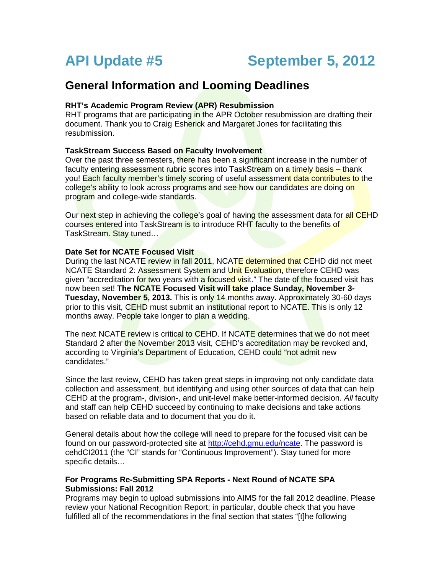# **General Information and Looming Deadlines**

# **RHT's Academic Program Review (APR) Resubmission**

RHT programs that are participating in the APR October resubmission are drafting their document. Thank you to Craig Esherick and Margaret Jones for facilitating this resubmission.

# **TaskStream Success Based on Faculty Involvement**

Over the past three semesters, there has been a significant increase in the number of faculty entering assessment rubric scores into TaskStream on a timely basis – thank you! Each faculty member's timely scoring of useful assessment data contributes to the college's ability to look across programs and see how our candidates are doing on program and college-wide standards.

Our next step in achieving the college's goal of having the assessment data for all CEHD courses entered into TaskStream is to introduce RHT faculty to the benefits of TaskStream. Stay tuned...

### **Date Set for NCATE Focused Visit**

During the last NCATE review in fall 2011, NCATE determined that CEHD did not meet NCATE Standard 2: Assessment System and Unit Evaluation, therefore CEHD was given "accreditation for two years with a focused visit." The date of the focused visit has now been set! **The NCATE Focused Visit will take place Sunday, November 3- Tuesday, November 5, 2013.** This is only 14 months away. Approximately 30-60 days prior to this visit, CEHD must submit an institutional report to NCATE. This is only 12 months away. People take longer to plan a wedding.

The next NCATE review is critical to CEHD. If NCATE determines that we do not meet Standard 2 after the November 2013 visit, CEHD's accreditation may be revoked and, according to Virginia's Department of Education, CEHD could "not admit new candidates."

Since the last review, CEHD has taken great steps in improving not only candidate data collection and assessment, but identifying and using other sources of data that can help CEHD at the program-, division-, and unit-level make better-informed decision. *All* faculty and staff can help CEHD succeed by continuing to make decisions and take actions based on reliable data and to document that you do it.

General details about how the college will need to prepare for the focused visit can be found on our password-protected site at [http://cehd.gmu.edu/ncate.](http://cehd.gmu.edu/ncate) The password is cehdCI2011 (the "CI" stands for "Continuous Improvement"). Stay tuned for more specific details…

### **For Programs Re-Submitting SPA Reports - Next Round of NCATE SPA Submissions: Fall 2012**

Programs may begin to upload submissions into AIMS for the fall 2012 deadline. Please review your National Recognition Report; in particular, double check that you have fulfilled all of the recommendations in the final section that states "[t]he following